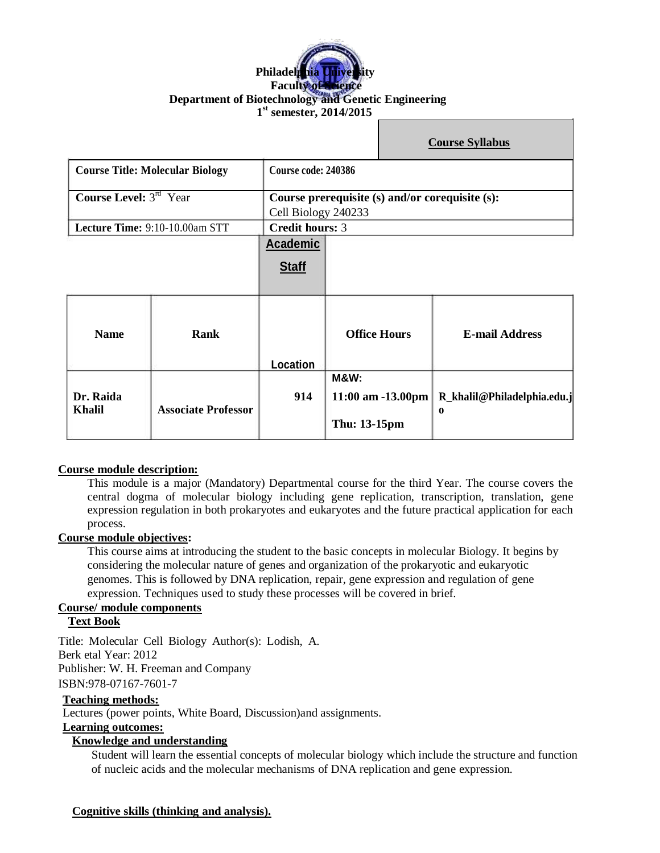# **Philadelphia University Faculty of Science Department of Biotechnology and Genetic Engineering 1 st semester, 2014/2015**

|                                        |                                |                                                                        |                                                      |  | <b>Course Syllabus</b>           |  |
|----------------------------------------|--------------------------------|------------------------------------------------------------------------|------------------------------------------------------|--|----------------------------------|--|
| <b>Course Title: Molecular Biology</b> |                                | Course code: 240386                                                    |                                                      |  |                                  |  |
| <b>Course Level:</b> $3^{rd}$ Year     |                                | Course prerequisite (s) and/or corequisite (s):<br>Cell Biology 240233 |                                                      |  |                                  |  |
|                                        | Lecture Time: 9:10-10.00am STT |                                                                        | <b>Credit hours: 3</b>                               |  |                                  |  |
|                                        |                                | <b>Academic</b>                                                        |                                                      |  |                                  |  |
|                                        |                                | <b>Staff</b>                                                           |                                                      |  |                                  |  |
| <b>Name</b>                            | Rank                           | Location                                                               | <b>Office Hours</b>                                  |  | <b>E-mail Address</b>            |  |
| Dr. Raida<br><b>Khalil</b>             | <b>Associate Professor</b>     | 914                                                                    | <b>M&amp;W:</b><br>11:00 am -13.00pm<br>Thu: 13-15pm |  | R_khalil@Philadelphia.edu.j<br>0 |  |

#### **Course module description:**

This module is a major (Mandatory) Departmental course for the third Year. The course covers the central dogma of molecular biology including gene replication, transcription, translation, gene expression regulation in both prokaryotes and eukaryotes and the future practical application for each process.

#### **Course module objectives:**

This course aims at introducing the student to the basic concepts in molecular Biology. It begins by considering the molecular nature of genes and organization of the prokaryotic and eukaryotic genomes. This is followed by DNA replication, repair, gene expression and regulation of gene expression. Techniques used to study these processes will be covered in brief.

#### **Course/ module components**

# **Text Book**

Title: Molecular Cell Biology Author(s): Lodish, A. Berk etal Year: 2012 Publisher: W. H. Freeman and Company ISBN:978-07167-7601-7

#### **Teaching methods:**

Lectures (power points, White Board, Discussion)and assignments.

#### **Learning outcomes:**

### **Knowledge and understanding**

Student will learn the essential concepts of molecular biology which include the structure and function of nucleic acids and the molecular mechanisms of DNA replication and gene expression.

### **Cognitive skills (thinking and analysis).**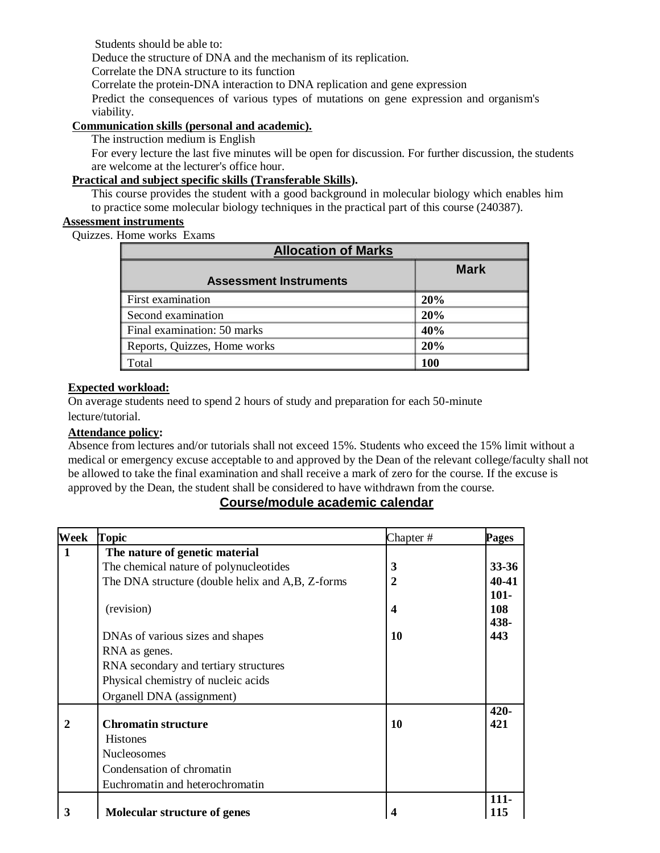Students should be able to:

Deduce the structure of DNA and the mechanism of its replication.

Correlate the DNA structure to its function

Correlate the protein-DNA interaction to DNA replication and gene expression

Predict the consequences of various types of mutations on gene expression and organism's viability.

# **Communication skills (personal and academic).**

The instruction medium is English

For every lecture the last five minutes will be open for discussion. For further discussion, the students are welcome at the lecturer's office hour.

# **Practical and subject specific skills (Transferable Skills).**

This course provides the student with a good background in molecular biology which enables him to practice some molecular biology techniques in the practical part of this course (240387).

# **Assessment instruments**

Quizzes. Home works Exams

| <b>Allocation of Marks</b>    |             |  |
|-------------------------------|-------------|--|
| <b>Assessment Instruments</b> | <b>Mark</b> |  |
| <b>First examination</b>      | 20%         |  |
| Second examination            | 20%         |  |
| Final examination: 50 marks   | 40%         |  |
| Reports, Quizzes, Home works  | 20%         |  |
| Total                         | 100         |  |

# **Expected workload:**

On average students need to spend 2 hours of study and preparation for each 50-minute lecture/tutorial.

# **Attendance policy:**

Absence from lectures and/or tutorials shall not exceed 15%. Students who exceed the 15% limit without a medical or emergency excuse acceptable to and approved by the Dean of the relevant college/faculty shall not be allowed to take the final examination and shall receive a mark of zero for the course. If the excuse is approved by the Dean, the student shall be considered to have withdrawn from the course.

# **Course/module academic calendar**

| Week         | Topic                                            | Chapter#         | Pages      |
|--------------|--------------------------------------------------|------------------|------------|
| $\mathbf{1}$ | The nature of genetic material                   |                  |            |
|              | The chemical nature of polynucleotides           | 3                | 33-36      |
|              | The DNA structure (double helix and A,B, Z-forms | $\overline{2}$   | $40 - 41$  |
|              |                                                  |                  | $101 -$    |
|              | (revision)                                       | $\boldsymbol{4}$ | <b>108</b> |
|              |                                                  |                  | 438-       |
|              | DNAs of various sizes and shapes                 | 10               | 443        |
|              | RNA as genes.                                    |                  |            |
|              | RNA secondary and tertiary structures            |                  |            |
|              | Physical chemistry of nucleic acids              |                  |            |
|              | Organell DNA (assignment)                        |                  |            |
|              |                                                  |                  | $420 -$    |
| $\mathbf{2}$ | <b>Chromatin structure</b>                       | 10               | 421        |
|              | <b>Histones</b>                                  |                  |            |
|              | <b>Nucleosomes</b>                               |                  |            |
|              | Condensation of chromatin                        |                  |            |
|              | Euchromatin and heterochromatin                  |                  |            |
|              |                                                  |                  | $111 -$    |
| 3            | Molecular structure of genes                     |                  | 115        |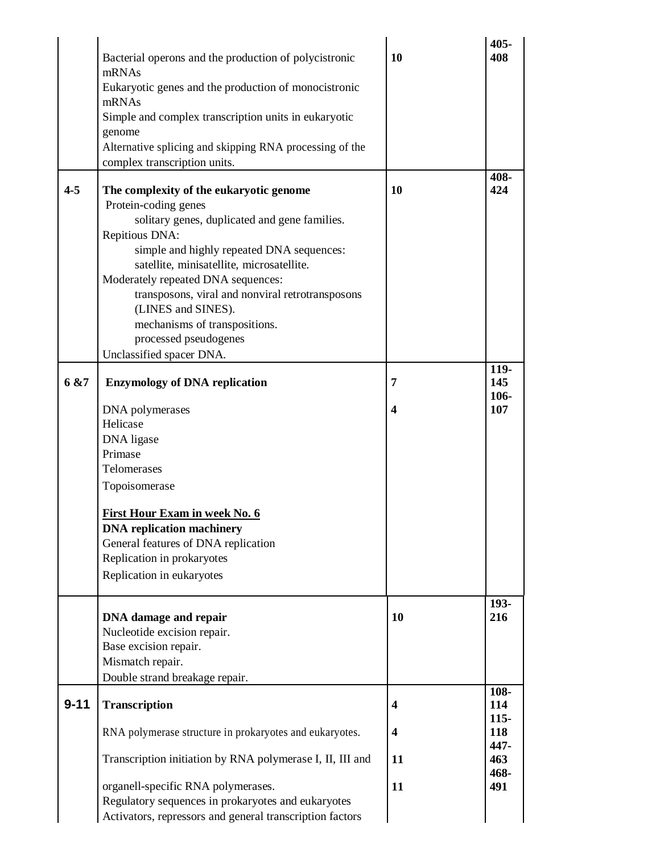| $4 - 5$<br>6 & 7 | Bacterial operons and the production of polycistronic<br>mRNAs<br>Eukaryotic genes and the production of monocistronic<br>mRNAs<br>Simple and complex transcription units in eukaryotic<br>genome<br>Alternative splicing and skipping RNA processing of the<br>complex transcription units.<br>The complexity of the eukaryotic genome<br>Protein-coding genes<br>solitary genes, duplicated and gene families.<br>Repitious DNA:<br>simple and highly repeated DNA sequences:<br>satellite, minisatellite, microsatellite.<br>Moderately repeated DNA sequences:<br>transposons, viral and nonviral retrotransposons<br>(LINES and SINES).<br>mechanisms of transpositions.<br>processed pseudogenes<br>Unclassified spacer DNA.<br><b>Enzymology of DNA replication</b><br>DNA polymerases<br>Helicase<br>DNA ligase<br>Primase<br>Telomerases<br>Topoisomerase<br><b>First Hour Exam in week No. 6</b><br><b>DNA</b> replication machinery | 10<br>10<br>7<br>$\overline{\mathbf{4}}$ | 405-<br>408<br>408-<br>424<br>119-<br>145<br>106-<br>107 |
|------------------|------------------------------------------------------------------------------------------------------------------------------------------------------------------------------------------------------------------------------------------------------------------------------------------------------------------------------------------------------------------------------------------------------------------------------------------------------------------------------------------------------------------------------------------------------------------------------------------------------------------------------------------------------------------------------------------------------------------------------------------------------------------------------------------------------------------------------------------------------------------------------------------------------------------------------------------------|------------------------------------------|----------------------------------------------------------|
|                  | General features of DNA replication<br>Replication in prokaryotes                                                                                                                                                                                                                                                                                                                                                                                                                                                                                                                                                                                                                                                                                                                                                                                                                                                                              |                                          |                                                          |
|                  | Replication in eukaryotes                                                                                                                                                                                                                                                                                                                                                                                                                                                                                                                                                                                                                                                                                                                                                                                                                                                                                                                      |                                          |                                                          |
|                  | DNA damage and repair<br>Nucleotide excision repair.<br>Base excision repair.<br>Mismatch repair.<br>Double strand breakage repair.                                                                                                                                                                                                                                                                                                                                                                                                                                                                                                                                                                                                                                                                                                                                                                                                            | 10                                       | 193-<br>216                                              |
| $9 - 11$         |                                                                                                                                                                                                                                                                                                                                                                                                                                                                                                                                                                                                                                                                                                                                                                                                                                                                                                                                                |                                          | 108-                                                     |
|                  | <b>Transcription</b>                                                                                                                                                                                                                                                                                                                                                                                                                                                                                                                                                                                                                                                                                                                                                                                                                                                                                                                           | $\overline{\mathbf{4}}$                  | 114<br>$115 -$                                           |
|                  | RNA polymerase structure in prokaryotes and eukaryotes.                                                                                                                                                                                                                                                                                                                                                                                                                                                                                                                                                                                                                                                                                                                                                                                                                                                                                        | $\overline{\mathbf{4}}$                  | 118<br>447-                                              |
|                  | Transcription initiation by RNA polymerase I, II, III and                                                                                                                                                                                                                                                                                                                                                                                                                                                                                                                                                                                                                                                                                                                                                                                                                                                                                      | 11                                       | 463<br>468-                                              |
|                  | organell-specific RNA polymerases.<br>Regulatory sequences in prokaryotes and eukaryotes<br>Activators, repressors and general transcription factors                                                                                                                                                                                                                                                                                                                                                                                                                                                                                                                                                                                                                                                                                                                                                                                           | 11                                       | 491                                                      |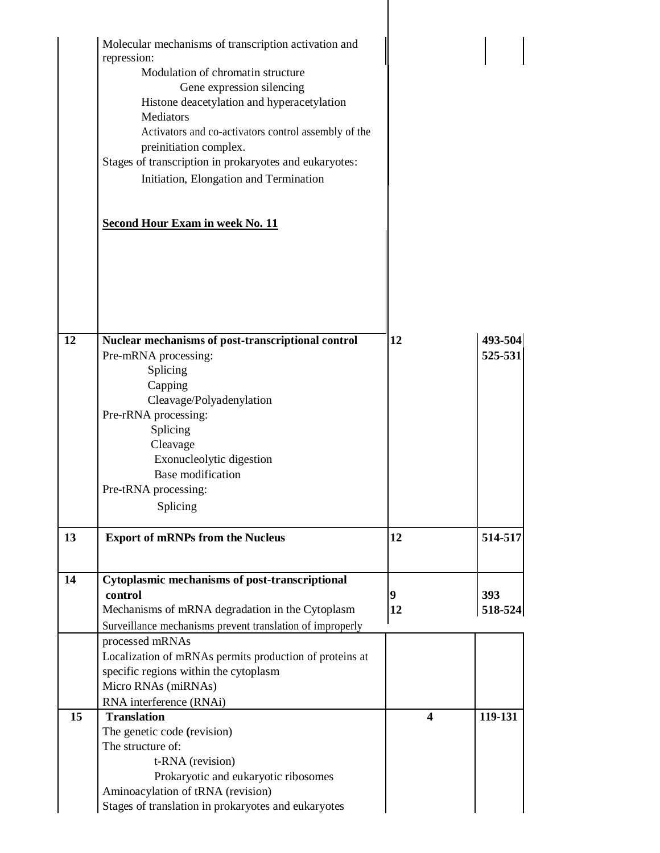|    | Molecular mechanisms of transcription activation and<br>repression:<br>Modulation of chromatin structure<br>Gene expression silencing<br>Histone deacetylation and hyperacetylation<br><b>Mediators</b><br>Activators and co-activators control assembly of the<br>preinitiation complex.<br>Stages of transcription in prokaryotes and eukaryotes:<br>Initiation, Elongation and Termination<br><b>Second Hour Exam in week No. 11</b> |                         |                    |
|----|-----------------------------------------------------------------------------------------------------------------------------------------------------------------------------------------------------------------------------------------------------------------------------------------------------------------------------------------------------------------------------------------------------------------------------------------|-------------------------|--------------------|
|    |                                                                                                                                                                                                                                                                                                                                                                                                                                         |                         |                    |
| 12 | Nuclear mechanisms of post-transcriptional control<br>Pre-mRNA processing:<br>Splicing<br>Capping<br>Cleavage/Polyadenylation<br>Pre-rRNA processing:<br>Splicing<br>Cleavage<br>Exonucleolytic digestion<br>Base modification<br>Pre-tRNA processing:<br>Splicing                                                                                                                                                                      | 12                      | 493-504<br>525-531 |
| 13 | <b>Export of mRNPs from the Nucleus</b>                                                                                                                                                                                                                                                                                                                                                                                                 | 12                      | 514-517            |
| 14 | Cytoplasmic mechanisms of post-transcriptional<br>control<br>Mechanisms of mRNA degradation in the Cytoplasm<br>Surveillance mechanisms prevent translation of improperly<br>processed mRNAs<br>Localization of mRNAs permits production of proteins at<br>specific regions within the cytoplasm<br>Micro RNAs (miRNAs)<br>RNA interference (RNAi)                                                                                      | 9<br>12                 | 393<br>518-524     |
| 15 | <b>Translation</b><br>The genetic code (revision)<br>The structure of:<br>t-RNA (revision)<br>Prokaryotic and eukaryotic ribosomes<br>Aminoacylation of tRNA (revision)<br>Stages of translation in prokaryotes and eukaryotes                                                                                                                                                                                                          | $\overline{\mathbf{4}}$ | 119-131            |